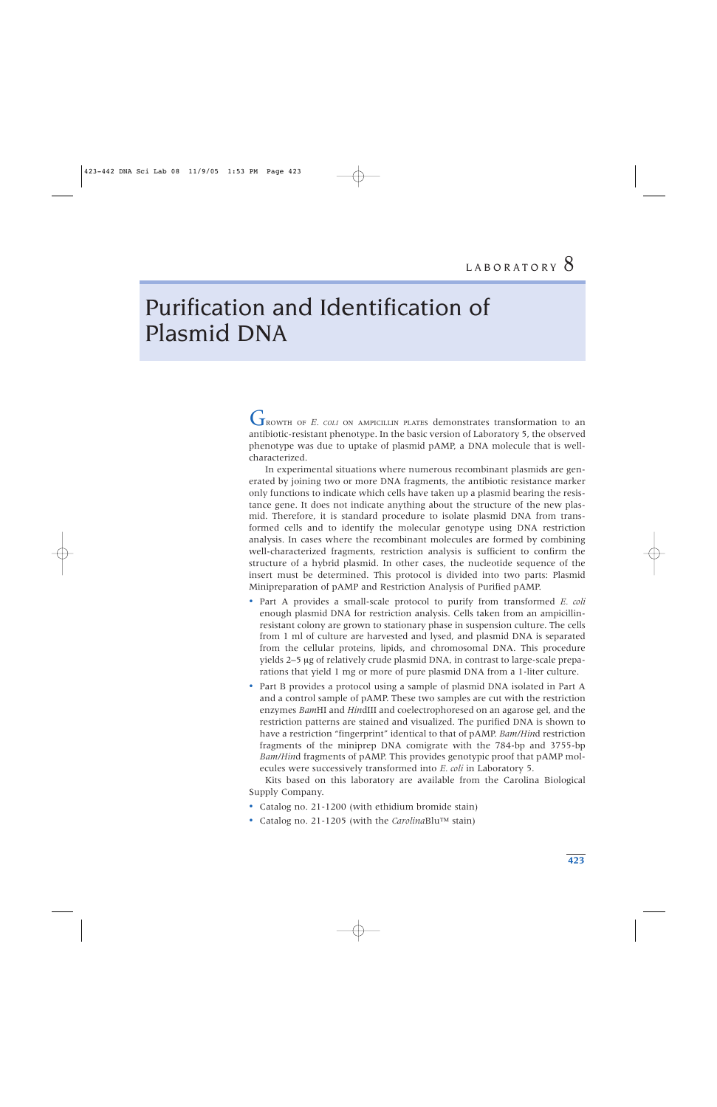# Purification and Identification of Plasmid DNA

**GROWTH OF** *E. COLI* ON AMPICILLIN PLATES demonstrates transformation to an antibiotic-resistant phenotype. In the basic version of Laboratory 5, the observed phenotype was due to uptake of plasmid pAMP, a DNA molecule that is wellcharacterized.

In experimental situations where numerous recombinant plasmids are generated by joining two or more DNA fragments, the antibiotic resistance marker only functions to indicate which cells have taken up a plasmid bearing the resistance gene. It does not indicate anything about the structure of the new plasmid. Therefore, it is standard procedure to isolate plasmid DNA from transformed cells and to identify the molecular genotype using DNA restriction analysis. In cases where the recombinant molecules are formed by combining well-characterized fragments, restriction analysis is sufficient to confirm the structure of a hybrid plasmid. In other cases, the nucleotide sequence of the insert must be determined. This protocol is divided into two parts: Plasmid Minipreparation of pAMP and Restriction Analysis of Purified pAMP.

- Part A provides a small-scale protocol to purify from transformed *E. coli* enough plasmid DNA for restriction analysis. Cells taken from an ampicillinresistant colony are grown to stationary phase in suspension culture. The cells from 1 ml of culture are harvested and lysed, and plasmid DNA is separated from the cellular proteins, lipids, and chromosomal DNA. This procedure yields 2–5 µg of relatively crude plasmid DNA, in contrast to large-scale preparations that yield 1 mg or more of pure plasmid DNA from a 1-liter culture.
- Part B provides a protocol using a sample of plasmid DNA isolated in Part A and a control sample of pAMP. These two samples are cut with the restriction enzymes *Bam*HI and *Hin*dIII and coelectrophoresed on an agarose gel, and the restriction patterns are stained and visualized. The purified DNA is shown to have a restriction "fingerprint" identical to that of pAMP. *Bam/Hin*d restriction fragments of the miniprep DNA comigrate with the 784-bp and 3755-bp *Bam/Hin*d fragments of pAMP. This provides genotypic proof that pAMP molecules were successively transformed into *E. coli* in Laboratory 5.

Kits based on this laboratory are available from the Carolina Biological Supply Company.

- Catalog no. 21-1200 (with ethidium bromide stain)
- Catalog no. 21-1205 (with the *Carolina*Blu™ stain)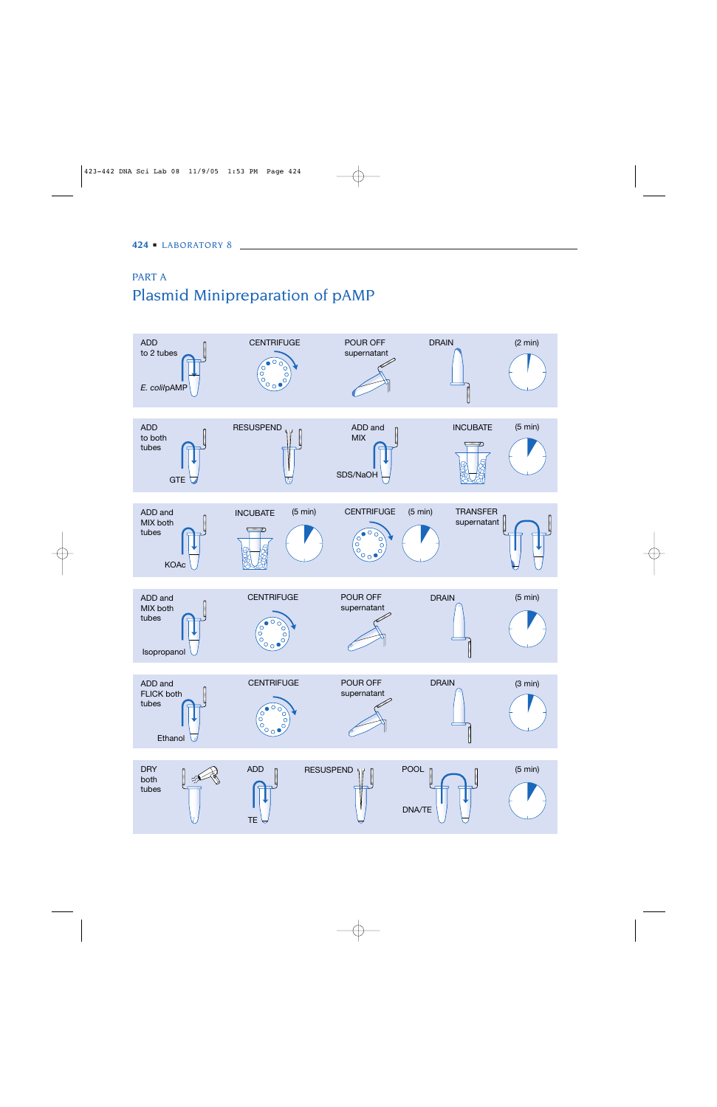## PART A Plasmid Minipreparation of pAMP

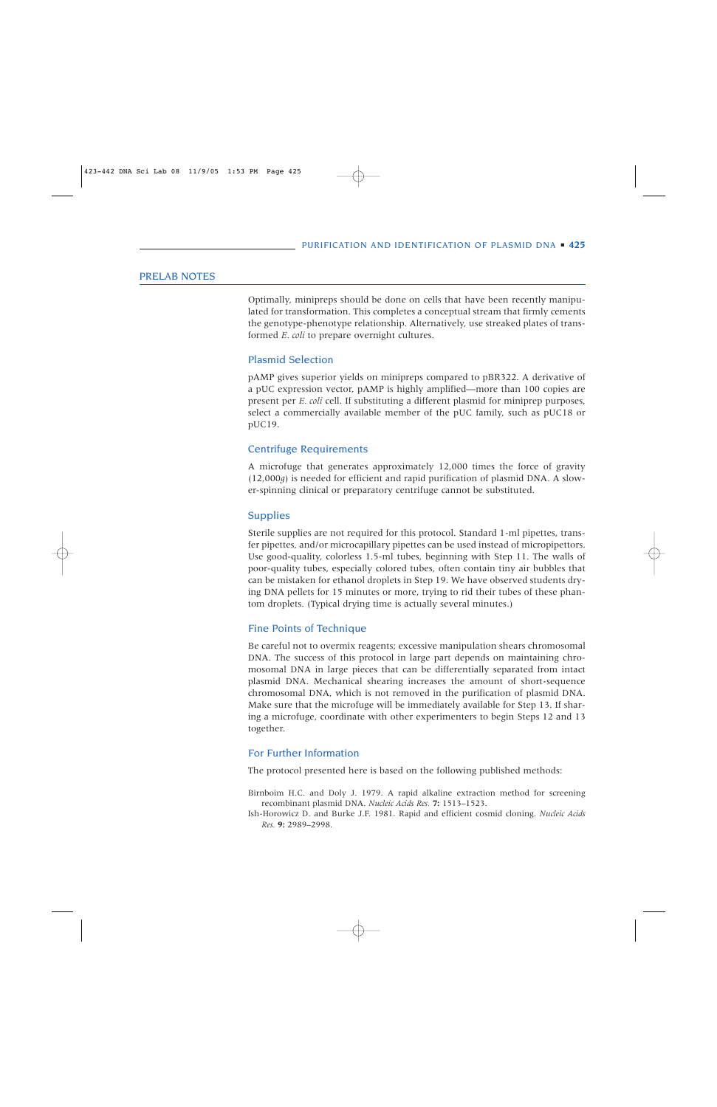#### PRELAB NOTES

Optimally, minipreps should be done on cells that have been recently manipulated for transformation. This completes a conceptual stream that firmly cements the genotype-phenotype relationship. Alternatively, use streaked plates of transformed *E. coli* to prepare overnight cultures.

#### Plasmid Selection

pAMP gives superior yields on minipreps compared to pBR322. A derivative of a pUC expression vector, pAMP is highly amplified—more than 100 copies are present per *E. coli* cell. If substituting a different plasmid for miniprep purposes, select a commercially available member of the pUC family, such as pUC18 or pUC19.

#### Centrifuge Requirements

A microfuge that generates approximately 12,000 times the force of gravity (12,000*g*) is needed for efficient and rapid purification of plasmid DNA. A slower-spinning clinical or preparatory centrifuge cannot be substituted.

#### **Supplies**

Sterile supplies are not required for this protocol. Standard 1-ml pipettes, transfer pipettes, and/or microcapillary pipettes can be used instead of micropipettors. Use good-quality, colorless 1.5-ml tubes, beginning with Step 11. The walls of poor-quality tubes, especially colored tubes, often contain tiny air bubbles that can be mistaken for ethanol droplets in Step 19. We have observed students drying DNA pellets for 15 minutes or more, trying to rid their tubes of these phantom droplets. (Typical drying time is actually several minutes.)

#### Fine Points of Technique

Be careful not to overmix reagents; excessive manipulation shears chromosomal DNA. The success of this protocol in large part depends on maintaining chromosomal DNA in large pieces that can be differentially separated from intact plasmid DNA. Mechanical shearing increases the amount of short-sequence chromosomal DNA, which is not removed in the purification of plasmid DNA. Make sure that the microfuge will be immediately available for Step 13. If sharing a microfuge, coordinate with other experimenters to begin Steps 12 and 13 together.

#### For Further Information

The protocol presented here is based on the following published methods:

- Birnboim H.C. and Doly J. 1979. A rapid alkaline extraction method for screening recombinant plasmid DNA. *Nucleic Acids Res.* **7:** 1513–1523.
- Ish-Horowicz D. and Burke J.F. 1981. Rapid and efficient cosmid cloning. *Nucleic Acids Res.* **9:** 2989–2998.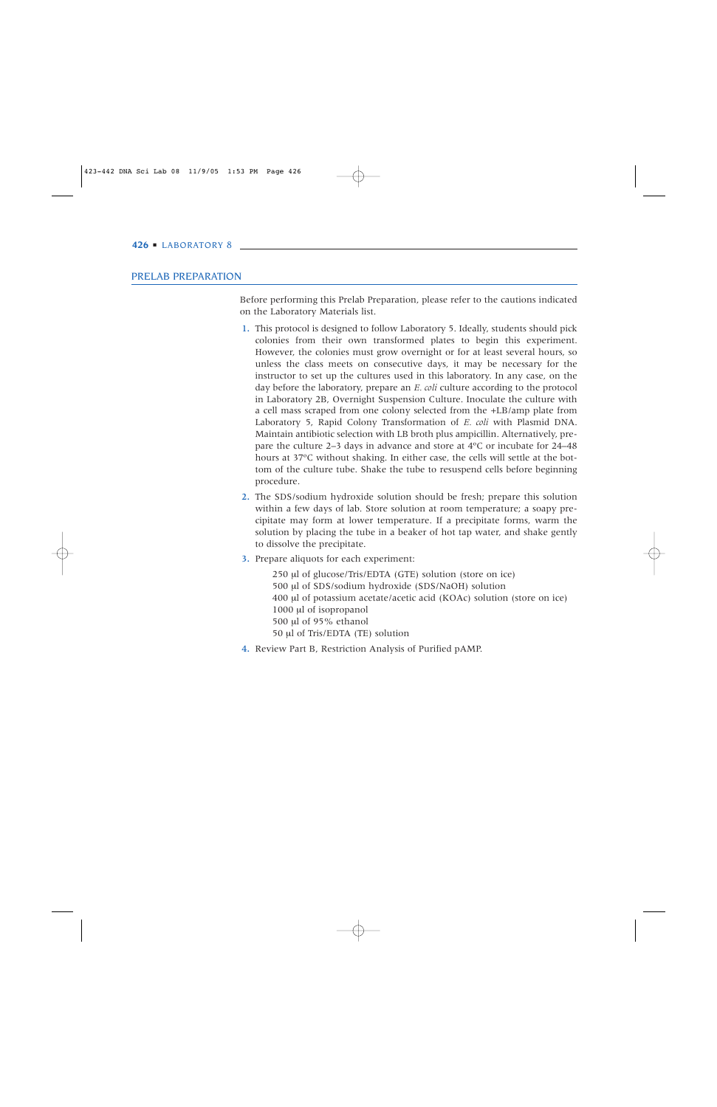#### PRELAB PREPARATION

Before performing this Prelab Preparation, please refer to the cautions indicated on the Laboratory Materials list.

- 1. This protocol is designed to follow Laboratory 5. Ideally, students should pick colonies from their own transformed plates to begin this experiment. However, the colonies must grow overnight or for at least several hours, so unless the class meets on consecutive days, it may be necessary for the instructor to set up the cultures used in this laboratory. In any case, on the day before the laboratory, prepare an *E. coli* culture according to the protocol in Laboratory 2B, Overnight Suspension Culture. Inoculate the culture with a cell mass scraped from one colony selected from the +LB/amp plate from Laboratory 5, Rapid Colony Transformation of *E. coli* with Plasmid DNA. Maintain antibiotic selection with LB broth plus ampicillin. Alternatively, prepare the culture 2–3 days in advance and store at 4ºC or incubate for 24–48 hours at 37ºC without shaking. In either case, the cells will settle at the bottom of the culture tube. Shake the tube to resuspend cells before beginning procedure.
- 2. The SDS/sodium hydroxide solution should be fresh; prepare this solution within a few days of lab. Store solution at room temperature; a soapy precipitate may form at lower temperature. If a precipitate forms, warm the solution by placing the tube in a beaker of hot tap water, and shake gently to dissolve the precipitate.
- 3. Prepare aliquots for each experiment:

µl of glucose/Tris/EDTA (GTE) solution (store on ice) µl of SDS/sodium hydroxide (SDS/NaOH) solution µl of potassium acetate/acetic acid (KOAc) solution (store on ice) µl of isopropanol µl of 95% ethanol µl of Tris/EDTA (TE) solution

4. Review Part B, Restriction Analysis of Purified pAMP.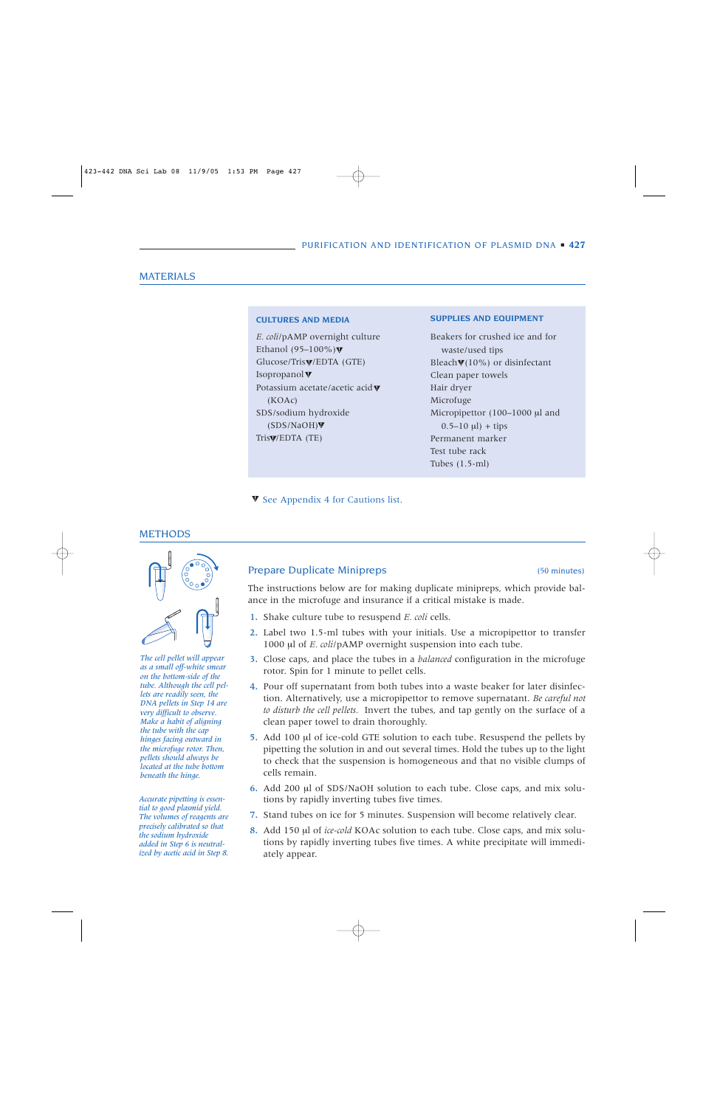#### MATERIALS

#### **CULTURES AND MEDIA**

*E. coli*/pAMP overnight culture Ethanol (95–100%) Glucose/Tris $\Psi$ /EDTA (GTE) Isopropanol  $\Psi$ Potassium acetate/acetic acid  $\blacktriangledown$ (KOAc) SDS/sodium hydroxide  $(SDS/NaOH)$ Tris $V/EDTA$  (TE)

#### **SUPPLIES AND EQUIPMENT**

Beakers for crushed ice and for waste/used tips Bleach  $\nabla(10\%)$  or disinfectant Clean paper towels Hair dryer Microfuge Micropipettor (100–1000 µl and  $0.5-10$  µl) + tips Permanent marker Test tube rack Tubes (1.5-ml)

**V** See Appendix 4 for Cautions list.

#### METHODS



*The cell pellet will appear as a small off-white smear on the bottom-side of the tube. Although the cell pellets are readily seen, the DNA pellets in Step 14 are very difficult to observe. Make a habit of aligning the tube with the cap hinges facing outward in the microfuge rotor. Then, pellets should always be located at the tube bottom beneath the hinge.*

*Accurate pipetting is essential to good plasmid yield. The volumes of reagents are precisely calibrated so that the sodium hydroxide added in Step 6 is neutralized by acetic acid in Step 8.* 

#### Prepare Duplicate Minipreps (50 minutes)

The instructions below are for making duplicate minipreps, which provide balance in the microfuge and insurance if a critical mistake is made.

- 1. Shake culture tube to resuspend *E. coli* cells.
- 2. Label two 1.5-ml tubes with your initials. Use a micropipettor to transfer 1000 µl of *E. coli*/pAMP overnight suspension into each tube.
- 3. Close caps, and place the tubes in a *balanced* configuration in the microfuge rotor. Spin for 1 minute to pellet cells.
- 4. Pour off supernatant from both tubes into a waste beaker for later disinfection. Alternatively, use a micropipettor to remove supernatant. *Be careful not to disturb the cell pellets.* Invert the tubes, and tap gently on the surface of a clean paper towel to drain thoroughly.
- 5. Add 100 µl of ice-cold GTE solution to each tube. Resuspend the pellets by pipetting the solution in and out several times. Hold the tubes up to the light to check that the suspension is homogeneous and that no visible clumps of cells remain.
- 6. Add 200 µl of SDS/NaOH solution to each tube. Close caps, and mix solutions by rapidly inverting tubes five times.
- 7. Stand tubes on ice for 5 minutes. Suspension will become relatively clear.
- 8. Add 150 µl of *ice-cold* KOAc solution to each tube. Close caps, and mix solutions by rapidly inverting tubes five times. A white precipitate will immediately appear.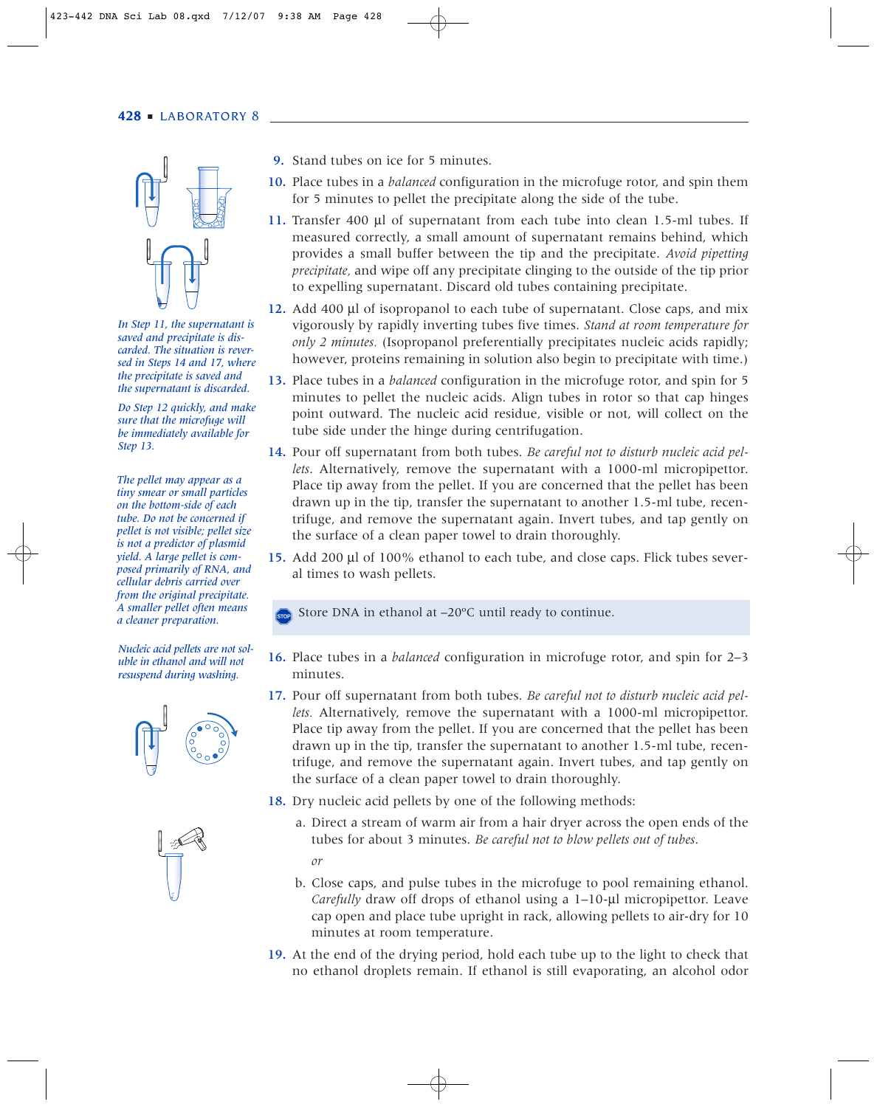*In Step 11, the supernatant is saved and precipitate is discarded. The situation is reversed in Steps 14 and 17, where the precipitate is saved and the supernatant is discarded.*

*Do Step 12 quickly, and make sure that the microfuge will be immediately available for Step 13.*

*The pellet may appear as a tiny smear or small particles on the bottom-side of each* be. Do not be concerned if *pellet is not visible; pellet size is not a predictor of plasmid yield. A large pellet is composed primarily of RNA, and cellular debris carried over from the original precipitate. Smaller pellet often means a cleaner preparation.*

*Nucleic acid pellets are not soluble in ethanol and will not resuspend during washing.*



to expelling supernatant. Discard old tubes containing precipitate.

- 12. Add 400 μl of isopropanol to each tube of supernatant. Close caps, and mix vigorously by rapidly inverting tubes five times. *Stand at room temperature for only 2 minutes.* (Isopropanol preferentially precipitates nucleic acids rapidly; however, proteins remaining in solution also begin to precipitate with time.)
- 13. Place tubes in a *balanced* configuration in the microfuge rotor, and spin for 5 minutes to pellet the nucleic acids. Align tubes in rotor so that cap hinges point outward. The nucleic acid residue, visible or not, will collect on the tube side under the hinge during centrifugation.
- 14. Pour off supernatant from both tubes. *Be careful not to disturb nucleic acid pellets*. Alternatively, remove the supernatant with a 1000-ml micropipettor. Place tip away from the pellet. If you are concerned that the pellet has been drawn up in the tip, transfer the supernatant to another 1.5-ml tube, recentrifuge, and remove the supernatant again. Invert tubes, and tap gently on the surface of a clean paper towel to drain thoroughly.
- 15. Add 200 μl of 100% ethanol to each tube, and close caps. Flick tubes several times to wash pellets.

**STOP** Store DNA in ethanol at –20ºC until ready to continue.

- 16. Place tubes in a *balanced* configuration in microfuge rotor, and spin for 2–3 minutes.
- 17. Pour off supernatant from both tubes. *Be careful not to disturb nucleic acid pellets.* Alternatively, remove the supernatant with a 1000-ml micropipettor. Place tip away from the pellet. If you are concerned that the pellet has been drawn up in the tip, transfer the supernatant to another 1.5-ml tube, recentrifuge, and remove the supernatant again. Invert tubes, and tap gently on the surface of a clean paper towel to drain thoroughly.
- 18. Dry nucleic acid pellets by one of the following methods:
	- a. Direct a stream of warm air from a hair dryer across the open ends of the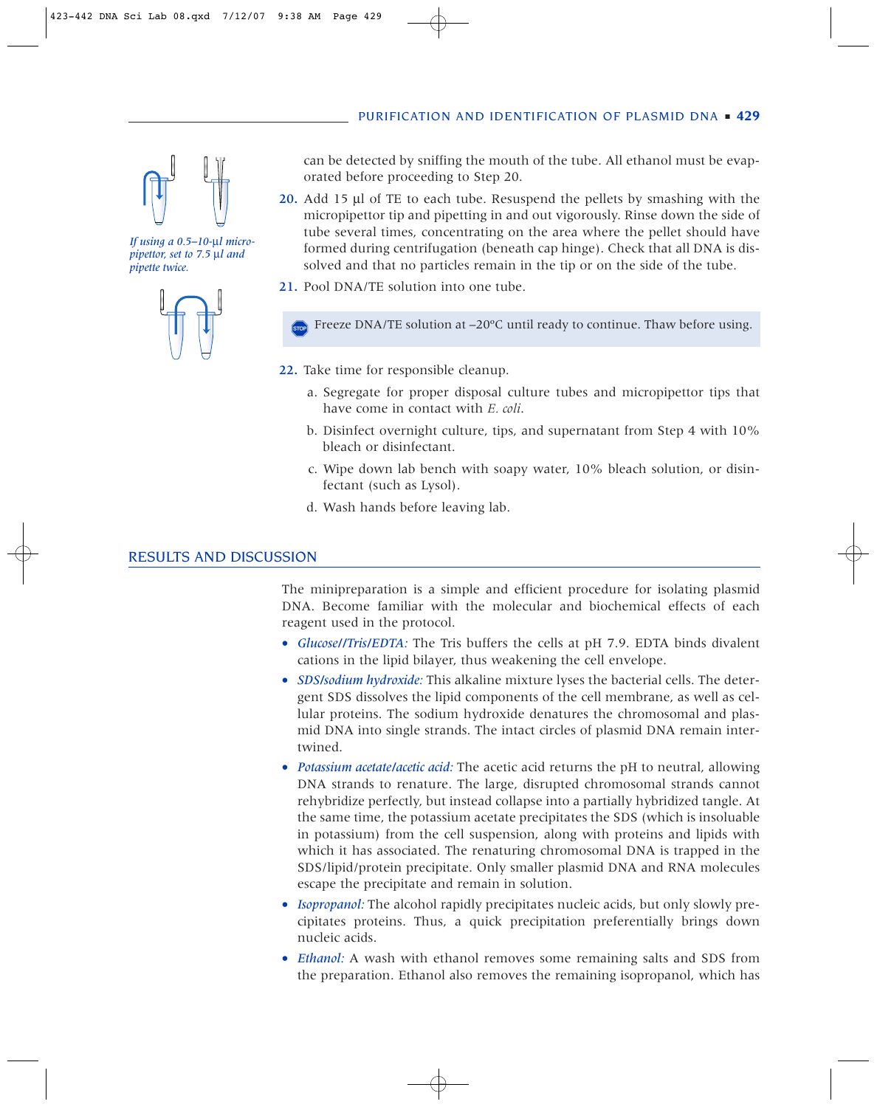

 $21.$  FOOL DINA/TE solution into one tube.

**STOP** Freeze DNA/TE solution at –20ºC until ready to continue. Thaw before using.

- 22. Take time for responsible cleanup.
	- a. Segregate for proper disposal culture tubes and micropipettor tips the have come in contact with *E. coli*.
	- b. Disinfect overnight culture, tips, and supernatant from Step 4 with 10% bleach or disinfectant.
	- c. Wipe down lab bench with soapy water, 10% bleach solution, or disinfectant (such as Lysol).
	- d. Wash hands before leaving lab.

#### RESULTS AND DISCUSSION

The minipreparation is a simple and efficient procedure for isolating plasm DNA. Become familiar with the molecular and biochemical effects of each reagent used in the protocol.

- *Glucose//Tris/EDTA:* The Tris buffers the cells at pH 7.9. EDTA binds divalent cations in the lipid bilayer, thus weakening the cell envelope.
- *SDS/sodium hydroxide:* This alkaline mixture lyses the bacterial cells. The dete gent SDS dissolves the lipid components of the cell membrane, as well as ce lular proteins. The sodium hydroxide denatures the chromosomal and pla mid DNA into single strands. The intact circles of plasmid DNA remain inte twined.
- *Potassium acetate/acetic acid:* The acetic acid returns the pH to neutral, allowing DNA strands to renature. The large, disrupted chromosomal strands cannot rehybridize perfectly, but instead collapse into a partially hybridized tangle.  $\Lambda$ the same time, the potassium acetate precipitates the SDS (which is insoluable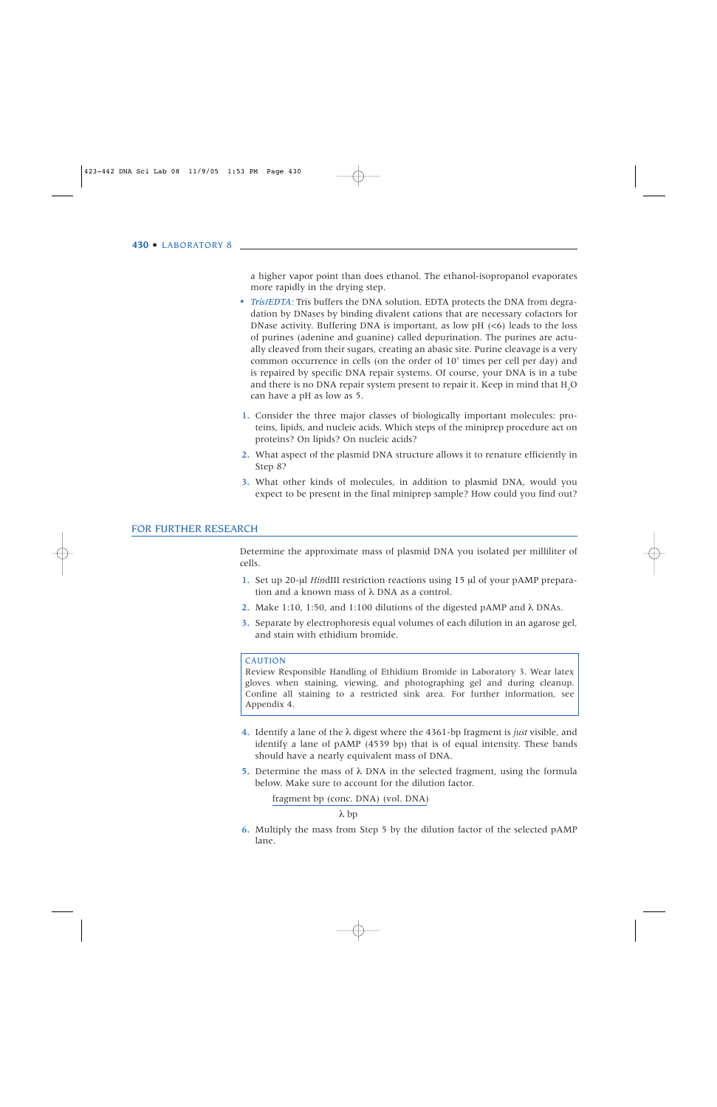a higher vapor point than does ethanol. The ethanol-isopropanol evaporates more rapidly in the drying step.

- *Tris/EDTA:* Tris buffers the DNA solution. EDTA protects the DNA from degradation by DNases by binding divalent cations that are necessary cofactors for DNase activity. Buffering DNA is important, as low  $pH$  ( $< 6$ ) leads to the loss of purines (adenine and guanine) called depurination. The purines are actually cleaved from their sugars, creating an abasic site. Purine cleavage is a very common occurrence in cells (on the order of  $10<sup>5</sup>$  times per cell per day) and is repaired by specific DNA repair systems. Of course, your DNA is in a tube and there is no DNA repair system present to repair it. Keep in mind that  $\rm H_2O$ can have a pH as low as 5.
- 1. Consider the three major classes of biologically important molecules: proteins, lipids, and nucleic acids. Which steps of the miniprep procedure act on proteins? On lipids? On nucleic acids?
- 2. What aspect of the plasmid DNA structure allows it to renature efficiently in Step 8?
- 3. What other kinds of molecules, in addition to plasmid DNA, would you expect to be present in the final miniprep sample? How could you find out?

#### FOR FURTHER RESEARCH

Determine the approximate mass of plasmid DNA you isolated per milliliter of cells.

- 1. Set up 20-µl *Hin*dIII restriction reactions using 15 µl of your pAMP preparation and a known mass of λ DNA as a control.
- 2. Make 1:10, 1:50, and 1:100 dilutions of the digested pAMP and  $\lambda$  DNAs.
- 3. Separate by electrophoresis equal volumes of each dilution in an agarose gel, and stain with ethidium bromide.

#### **CAUTION**

Review Responsible Handling of Ethidium Bromide in Laboratory 3. Wear latex gloves when staining, viewing, and photographing gel and during cleanup. Confine all staining to a restricted sink area. For further information, see Appendix 4.

- 4. Identify a lane of the λ digest where the 4361-bp fragment is *just* visible, and identify a lane of pAMP (4539 bp) that is of equal intensity. These bands should have a nearly equivalent mass of DNA.
- 5. Determine the mass of  $\lambda$  DNA in the selected fragment, using the formula below. Make sure to account for the dilution factor.

fragment bp (conc. DNA) (vol. DNA)

λ bp

6. Multiply the mass from Step 5 by the dilution factor of the selected pAMP lane.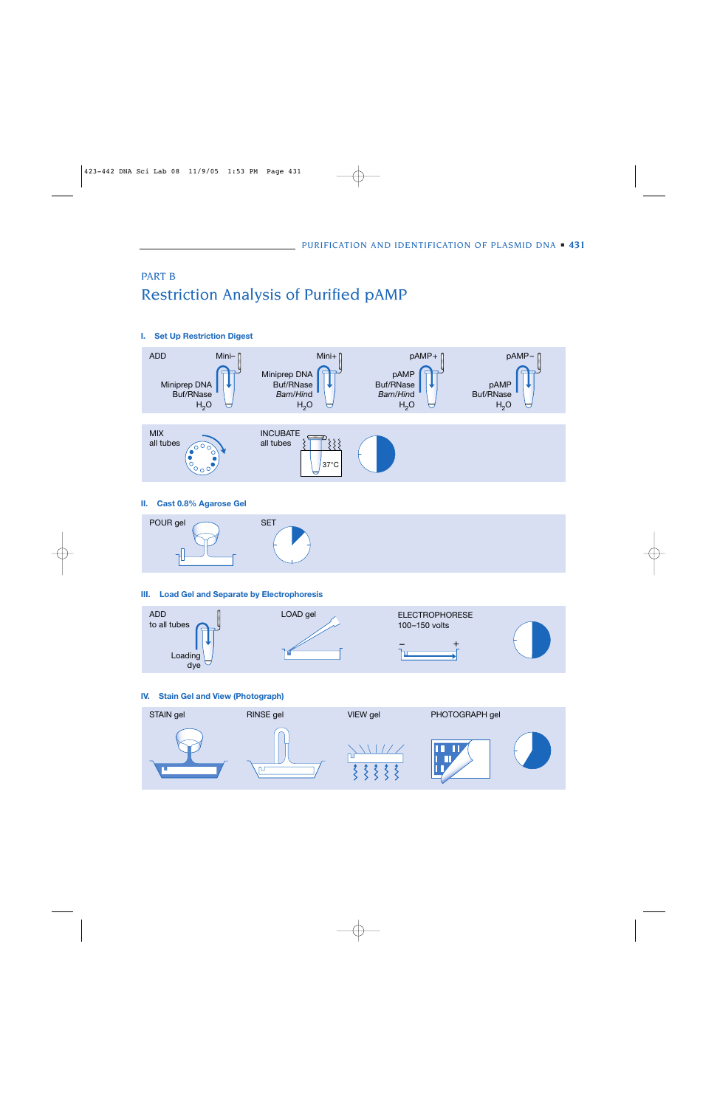### PART B Restriction Analysis of Purified pAMP

#### **I. Set Up Restriction Digest**



#### **II. Cast 0.8% Agarose Gel**



#### **III. Load Gel and Separate by Electrophoresis**



#### **IV. Stain Gel and View (Photograph)**

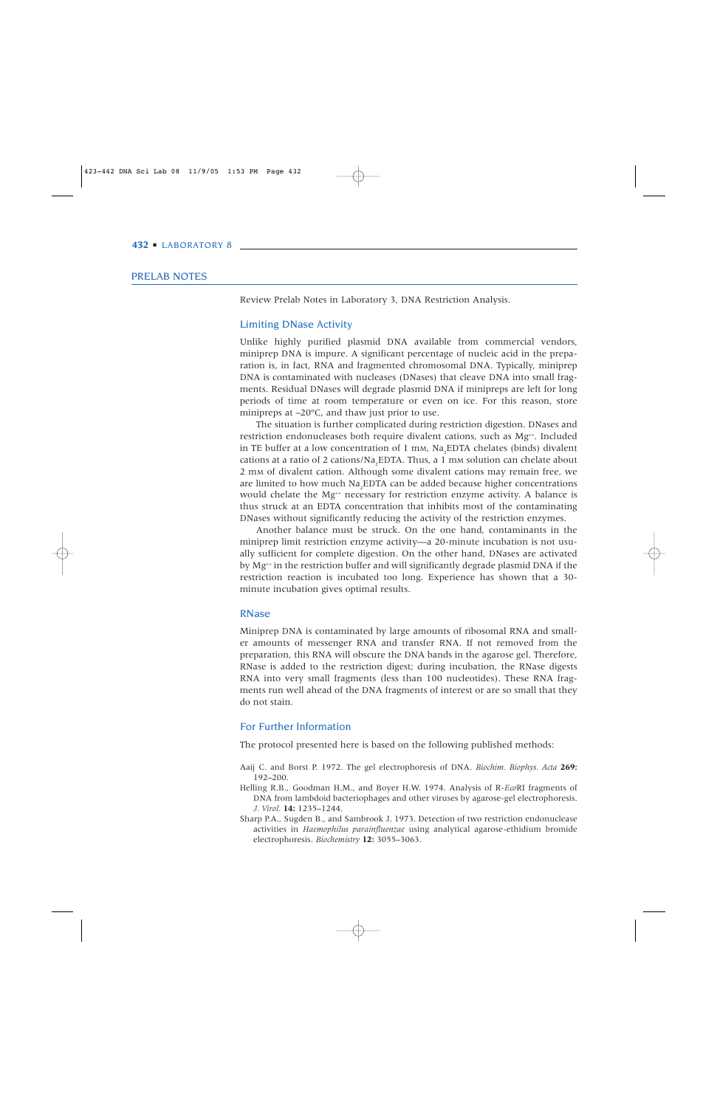#### PRELAB NOTES

Review Prelab Notes in Laboratory 3, DNA Restriction Analysis.

#### Limiting DNase Activity

Unlike highly purified plasmid DNA available from commercial vendors, miniprep DNA is impure. A significant percentage of nucleic acid in the preparation is, in fact, RNA and fragmented chromosomal DNA. Typically, miniprep DNA is contaminated with nucleases (DNases) that cleave DNA into small fragments. Residual DNases will degrade plasmid DNA if minipreps are left for long periods of time at room temperature or even on ice. For this reason, store minipreps at  $-20^{\circ}$ C, and thaw just prior to use.

The situation is further complicated during restriction digestion. DNases and restriction endonucleases both require divalent cations, such as Mg<sup>++</sup>. Included in TE buffer at a low concentration of 1 mm,  $\text{Na}_{2}\text{EDTA}$  chelates (binds) divalent cations at a ratio of 2 cations/Na<sub>2</sub>EDTA. Thus, a 1 mm solution can chelate about 2 mM of divalent cation. Although some divalent cations may remain free, we are limited to how much  $\text{Na}_{2}\text{EDTA}$  can be added because higher concentrations would chelate the  $Mg^{++}$  necessary for restriction enzyme activity. A balance is thus struck at an EDTA concentration that inhibits most of the contaminating DNases without significantly reducing the activity of the restriction enzymes.

Another balance must be struck. On the one hand, contaminants in the miniprep limit restriction enzyme activity—a 20-minute incubation is not usually sufficient for complete digestion. On the other hand, DNases are activated by Mg<sup>++</sup> in the restriction buffer and will significantly degrade plasmid DNA if the restriction reaction is incubated too long. Experience has shown that a 30 minute incubation gives optimal results.

#### RNase

Miniprep DNA is contaminated by large amounts of ribosomal RNA and smaller amounts of messenger RNA and transfer RNA. If not removed from the preparation, this RNA will obscure the DNA bands in the agarose gel. Therefore, RNase is added to the restriction digest; during incubation, the RNase digests RNA into very small fragments (less than 100 nucleotides). These RNA fragments run well ahead of the DNA fragments of interest or are so small that they do not stain.

#### For Further Information

The protocol presented here is based on the following published methods:

- Aaij C. and Borst P. 1972. The gel electrophoresis of DNA. *Biochim. Biophys. Acta* **269:** 192–200.
- Helling R.B., Goodman H.M., and Boyer H.W. 1974. Analysis of R-*Eco*RI fragments of DNA from lambdoid bacteriophages and other viruses by agarose-gel electrophoresis. *J. Virol.* **14:** 1235–1244.
- Sharp P.A., Sugden B., and Sambrook J. 1973. Detection of two restriction endonuclease activities in *Haemophilus parainfluenzae* using analytical agarose-ethidium bromide electrophoresis. *Biochemistry* **12:** 3055–3063.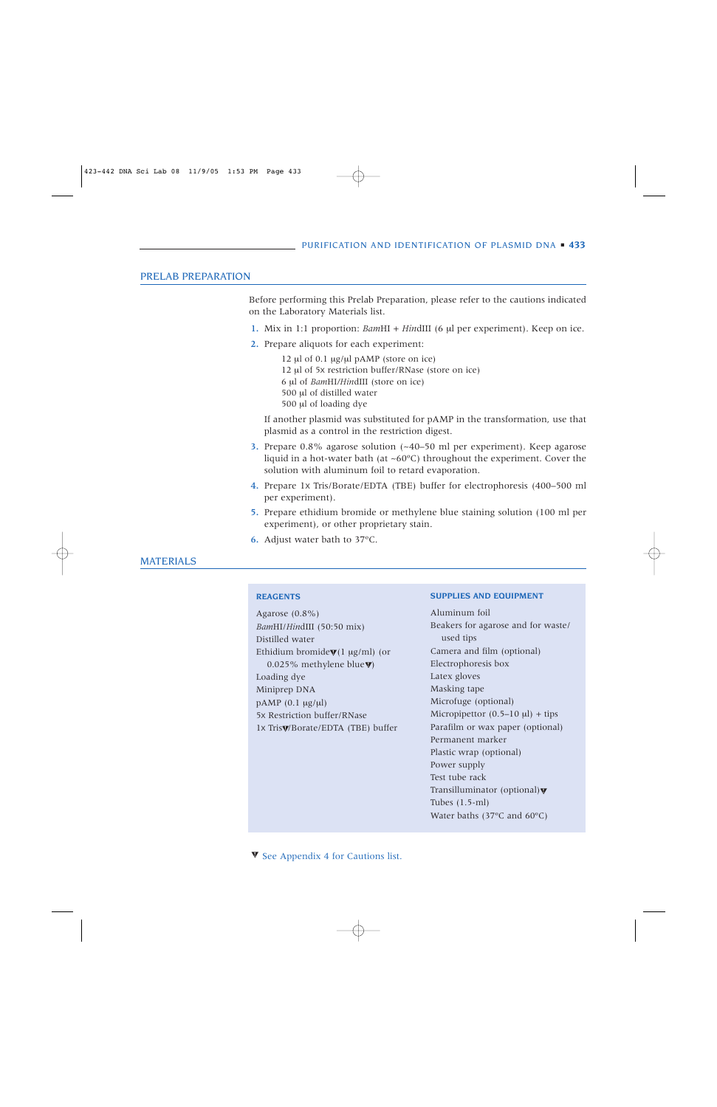#### PRELAB PREPARATION

Before performing this Prelab Preparation, please refer to the cautions indicated on the Laboratory Materials list.

- 1. Mix in 1:1 proportion: *Bam*HI + *Hin*dIII (6 µl per experiment). Keep on ice.
- 2. Prepare aliquots for each experiment:

12 µl of 0.1  $\mu$ g/ $\mu$ l pAMP (store on ice) µl of 5x restriction buffer/RNase (store on ice) µl of *Bam*HI*/Hin*dIII (store on ice) µl of distilled water µl of loading dye

If another plasmid was substituted for pAMP in the transformation, use that plasmid as a control in the restriction digest.

- 3. Prepare 0.8% agarose solution (~40–50 ml per experiment). Keep agarose liquid in a hot-water bath (at  $\sim 60^{\circ}$ C) throughout the experiment. Cover the solution with aluminum foil to retard evaporation.
- 4. Prepare 1x Tris/Borate/EDTA (TBE) buffer for electrophoresis (400–500 ml per experiment).
- 5. Prepare ethidium bromide or methylene blue staining solution (100 ml per experiment), or other proprietary stain.
- 6. Adjust water bath to 37ºC.

#### MATERIALS

#### **REAGENTS**

Agarose (0.8%) *Bam*HI/*Hin*dIII (50:50 mix) Distilled water Ethidium bromide $\Psi(1 \mu g/ml)$  (or 0.025% methylene blue $\Psi$ ) Loading dye Miniprep DNA  $pAMP (0.1 µg/µl)$ 5x Restriction buffer/RNase 1x Tris $\nabla/B$ orate/EDTA (TBE) buffer

#### **SUPPLIES AND EQUIPMENT**

Aluminum foil Beakers for agarose and for waste/ used tips Camera and film (optional) Electrophoresis box Latex gloves Masking tape Microfuge (optional) Micropipettor  $(0.5-10 \mu l)$  + tips Parafilm or wax paper (optional) Permanent marker Plastic wrap (optional) Power supply Test tube rack Transilluminator (optional) $\Psi$ Tubes (1.5-ml) Water baths (37ºC and 60ºC)

**V** See Appendix 4 for Cautions list.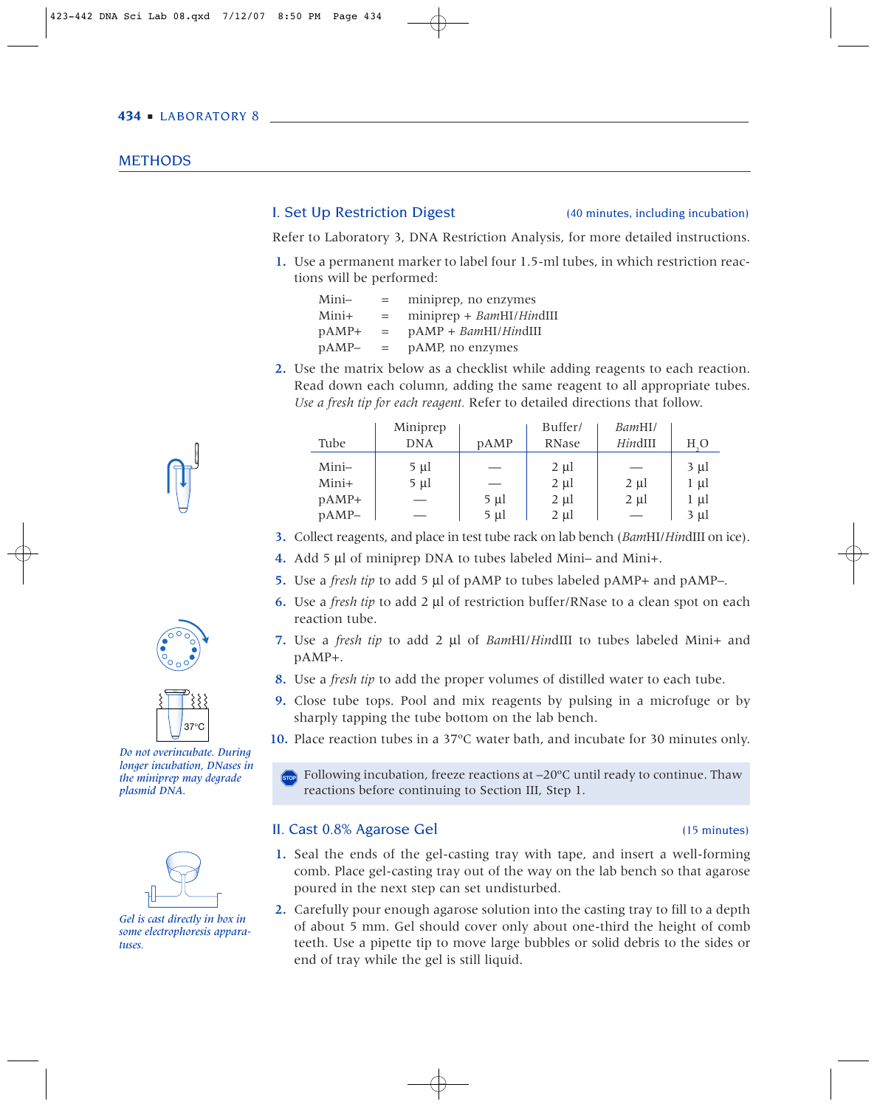| $=$ | miniprep, no enzymes     |
|-----|--------------------------|
| $=$ | miniprep + BamHI/HindIII |
| $=$ | pAMP + BamHI/HindIII     |
| $=$ | pAMP, no enzymes         |
|     |                          |

2. Use the matrix below as a checklist while adding reagents to each reaction. Read down each column, adding the same reagent to all appropriate tubes. *Use a fresh tip for each reagent.* Refer to detailed directions that follow.

|                | Miniprep     |      | Buffer/                | BamHI/    |                  |
|----------------|--------------|------|------------------------|-----------|------------------|
| Tube           | <b>DNA</b>   | pAMP | RNase                  | HindIII   | H <sub>2</sub> O |
| Mini-<br>Mini+ | 5 µl<br>5 µl |      | $2 \mu l$<br>$2 \mu l$ | $2 \mu l$ | 3 µl<br>l μl     |
| $pAMP+$        |              | 5 µl | $2 \mu l$              | $2 \mu l$ | l μl             |
| $pAMP-$        |              | 5 µl | $2 \mu l$              |           | 3 µl             |

- 3. Collect reagents, and place in test tube rack on lab bench (*Bam*HI/*Hin*dIII on ice).
- 4. Add 5 μl of miniprep DNA to tubes labeled Mini– and Mini+.
- 5. Use a *fresh tip* to add 5 μl of pAMP to tubes labeled pAMP+ and pAMP–.
- 6. Use a *fresh tip* to add 2 μl of restriction buffer/RNase to a clean spot on each reaction tube.
- 7. Use a *fresh tip* to add 2 μl of *Bam*HI/*Hin*dIII to tubes labeled Mini+ and pAMP+.
- 8. Use a *fresh tip* to add the proper volumes of distilled water to each tube.
- 9. Close tube tops. Pool and mix reagents by pulsing in a microfuge or by sharply tapping the tube bottom on the lab bench.
- 10. Place reaction tubes in a 37ºC water bath, and incubate for 30 minutes only.
	- Following incubation, freeze reactions at –20ºC until ready to continue. Thaw reactions before continuing to Section III, Step 1. -





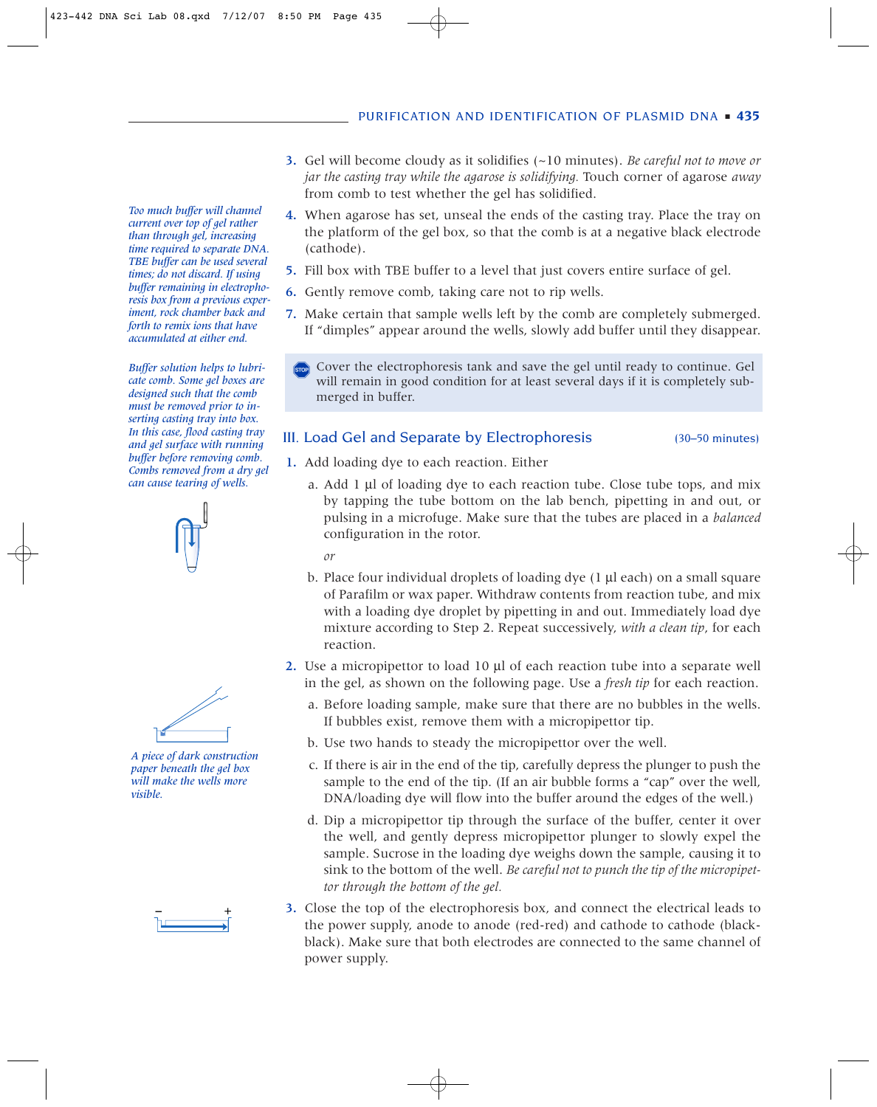*buffer remaining in electrophoresis box from a previous experiment, rock chamber back and forth to remix ions that have accumulated at either end.*

*Buffer solution helps to lubricate comb. Some gel boxes are designed such that the comb must be removed prior to inserting casting tray into box. In this case, flood casting tray and gel surface with running buffer before removing comb. Combs removed from a dry gel can cause tearing of wells.*





*A piece of dark construction paper beneath the gel box will make the wells more visible.*

- 6. Gently remove comb, taking care not to rip wells.
- 7. Make certain that sample wells left by the comb are completely submerged. If "dimples" appear around the wells, slowly add buffer until they disappear.
	- Cover the electrophoresis tank and save the gel until ready to continue. Ge will remain in good condition for at least several days if it is completely submerged in buffer. **STOP**

#### III. Load Gel and Separate by Electrophoresis (30–50 minutes)

- 1. Add loading dye to each reaction. Either
	- a. Add 1 μl of loading dye to each reaction tube. Close tube tops, and m by tapping the tube bottom on the lab bench, pipetting in and out, pulsing in a microfuge. Make sure that the tubes are placed in a *balance* configuration in the rotor.

*or*

- b. Place four individual droplets of loading dye  $(1 \mu)$  each) on a small square of Parafilm or wax paper. Withdraw contents from reaction tube, and m with a loading dye droplet by pipetting in and out. Immediately load d mixture according to Step 2. Repeat successively, *with a clean tip*, for each reaction.
- 2. Use a micropipettor to load 10  $\mu$ l of each reaction tube into a separate we in the gel, as shown on the following page. Use a *fresh tip* for each reaction.
	- a. Before loading sample, make sure that there are no bubbles in the well If bubbles exist, remove them with a micropipettor tip.
	- b. Use two hands to steady the micropipettor over the well.
	- c. If there is air in the end of the tip, carefully depress the plunger to push the sample to the end of the tip. (If an air bubble forms a "cap" over the we DNA/loading dye will flow into the buffer around the edges of the well.
	- d. Dip a micropipettor tip through the surface of the buffer, center it over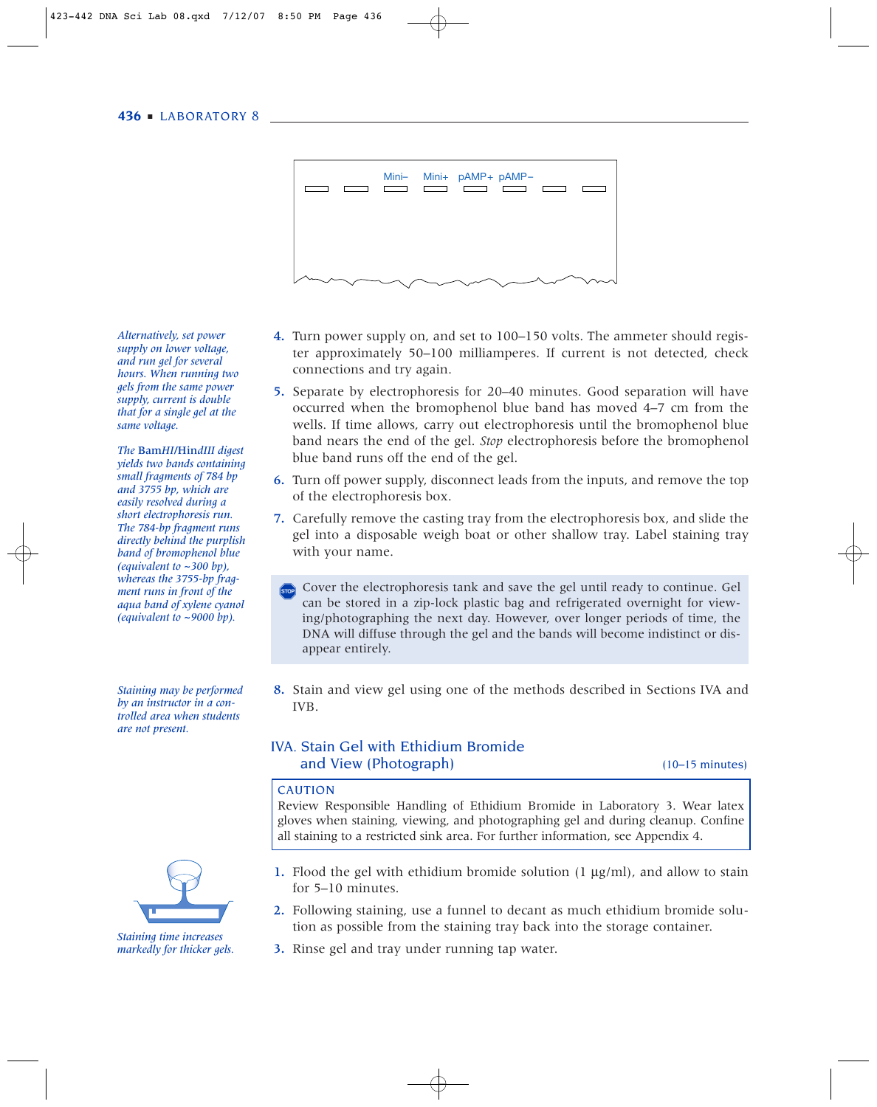*Alternatively, set power supply on lower voltage, and run gel for several hours. When running two gels from the same power supply, current is double that for a single gel at the same voltage.*

*The* Bam*HI/*Hin*dIII digest yields two bands containing small fragments of 784 bp and 3755 bp, which are easily resolved during a short electrophoresis run. The 784-bp fragment runs directly behind the purplish band of bromophenol blue (equivalent to ~300 bp),* hereas the 3755-bp frag*ment runs in front of the aqua band of xylene cyanol (equivalent to ~9000 bp).*

*Staining may be performed by an instructor in a controlled area when students are not present.*

- 4. Turn power supply on, and set to 100–150 volts. The ammeter should register approximately 50–100 milliamperes. If current is not detected, check connections and try again.
- 5. Separate by electrophoresis for 20–40 minutes. Good separation will have occurred when the bromophenol blue band has moved 4–7 cm from the wells. If time allows, carry out electrophoresis until the bromophenol blue band nears the end of the gel. *Stop* electrophoresis before the bromophenol blue band runs off the end of the gel.
- 6. Turn off power supply, disconnect leads from the inputs, and remove the top of the electrophoresis box.
- 7. Carefully remove the casting tray from the electrophoresis box, and slide the gel into a disposable weigh boat or other shallow tray. Label staining tray with your name.
	- Group Cover the electrophoresis tank and save the gel until ready to continue. Gel can be stored in a zin lock plattic hag and refrigerated overnight for view can be stored in a zip-lock plastic bag and refrigerated overnight for viewing/photographing the next day. However, over longer periods of time, the DNA will diffuse through the gel and the bands will become indistinct or disappear entirely.
- 8. Stain and view gel using one of the methods described in Sections IVA and IVB.

#### IVA. Stain Gel with Ethidium Bromide and View (Photograph) (10–15 minutes)

#### CAUTION

Review Responsible Handling of Ethidium Bromide in Laboratory 3. Wear latex gloves when staining, viewing, and photographing gel and during cleanup. Confine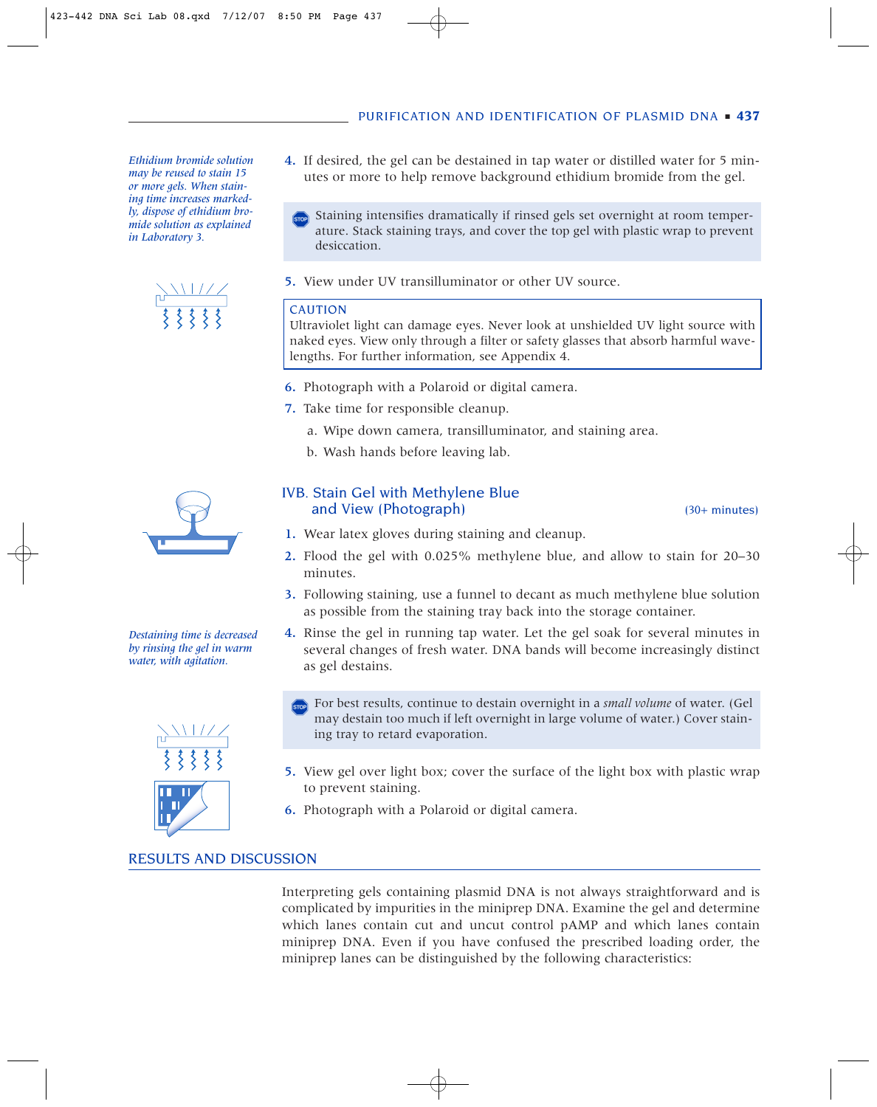

#### CAUTION

Ultraviolet light can damage eyes. Never look at unshielded UV light source with naked eyes. View only through a filter or safety glasses that absorb harmful wavelengths. For further information, see Appendix 4.

- 6. Photograph with a Polaroid or digital camera.
- 7. Take time for responsible cleanup.
	- a. Wipe down camera, transilluminator, and staining area.
	- b. Wash hands before leaving lab.



#### *Destaining time is decreased by rinsing the gel in warm water, with agitation.*



### IVB. Stain Gel with Methylene Blue and View (Photograph) (30+ minutes)

- 1. Wear latex gloves during staining and cleanup.
- 2. Flood the gel with  $0.025\%$  methylene blue, and allow to stain for 20–3 minutes.
- 3. Following staining, use a funnel to decant as much methylene blue solution as possible from the staining tray back into the storage container.
- 4. Rinse the gel in running tap water. Let the gel soak for several minutes several changes of fresh water. DNA bands will become increasingly distin as gel destains.
	- For best results, continue to destain overnight in a *small volume* of water. (Gel may destain too much if left overnight in large volume of water.) Cover staining tray to retard evaporation. **STOP**
- 5. View gel over light box; cover the surface of the light box with plastic wrap to prevent staining.
- 6. Photograph with a Polaroid or digital camera.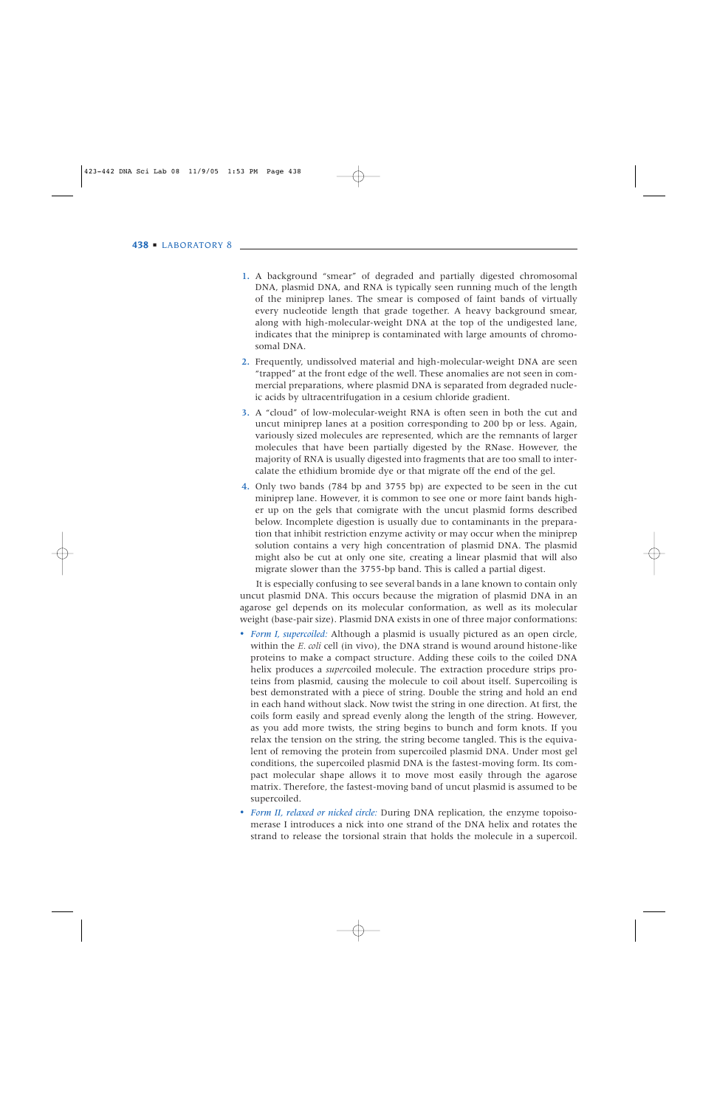- 1. A background "smear" of degraded and partially digested chromosomal DNA, plasmid DNA, and RNA is typically seen running much of the length of the miniprep lanes. The smear is composed of faint bands of virtually every nucleotide length that grade together. A heavy background smear, along with high-molecular-weight DNA at the top of the undigested lane, indicates that the miniprep is contaminated with large amounts of chromosomal DNA.
- 2. Frequently, undissolved material and high-molecular-weight DNA are seen "trapped" at the front edge of the well. These anomalies are not seen in commercial preparations, where plasmid DNA is separated from degraded nucleic acids by ultracentrifugation in a cesium chloride gradient.
- 3. A "cloud" of low-molecular-weight RNA is often seen in both the cut and uncut miniprep lanes at a position corresponding to 200 bp or less. Again, variously sized molecules are represented, which are the remnants of larger molecules that have been partially digested by the RNase. However, the majority of RNA is usually digested into fragments that are too small to intercalate the ethidium bromide dye or that migrate off the end of the gel.
- 4. Only two bands (784 bp and 3755 bp) are expected to be seen in the cut miniprep lane. However, it is common to see one or more faint bands higher up on the gels that comigrate with the uncut plasmid forms described below. Incomplete digestion is usually due to contaminants in the preparation that inhibit restriction enzyme activity or may occur when the miniprep solution contains a very high concentration of plasmid DNA. The plasmid might also be cut at only one site, creating a linear plasmid that will also migrate slower than the 3755-bp band. This is called a partial digest.

It is especially confusing to see several bands in a lane known to contain only uncut plasmid DNA. This occurs because the migration of plasmid DNA in an agarose gel depends on its molecular conformation, as well as its molecular weight (base-pair size). Plasmid DNA exists in one of three major conformations:

- *Form I, supercoiled:* Although a plasmid is usually pictured as an open circle, within the *E. coli* cell (in vivo), the DNA strand is wound around histone-like proteins to make a compact structure. Adding these coils to the coiled DNA helix produces a *super*coiled molecule. The extraction procedure strips proteins from plasmid, causing the molecule to coil about itself. Supercoiling is best demonstrated with a piece of string. Double the string and hold an end in each hand without slack. Now twist the string in one direction. At first, the coils form easily and spread evenly along the length of the string. However, as you add more twists, the string begins to bunch and form knots. If you relax the tension on the string, the string become tangled. This is the equivalent of removing the protein from supercoiled plasmid DNA. Under most gel conditions, the supercoiled plasmid DNA is the fastest-moving form. Its compact molecular shape allows it to move most easily through the agarose matrix. Therefore, the fastest-moving band of uncut plasmid is assumed to be supercoiled.
- *Form II, relaxed or nicked circle:* During DNA replication, the enzyme topoisomerase I introduces a nick into one strand of the DNA helix and rotates the strand to release the torsional strain that holds the molecule in a supercoil.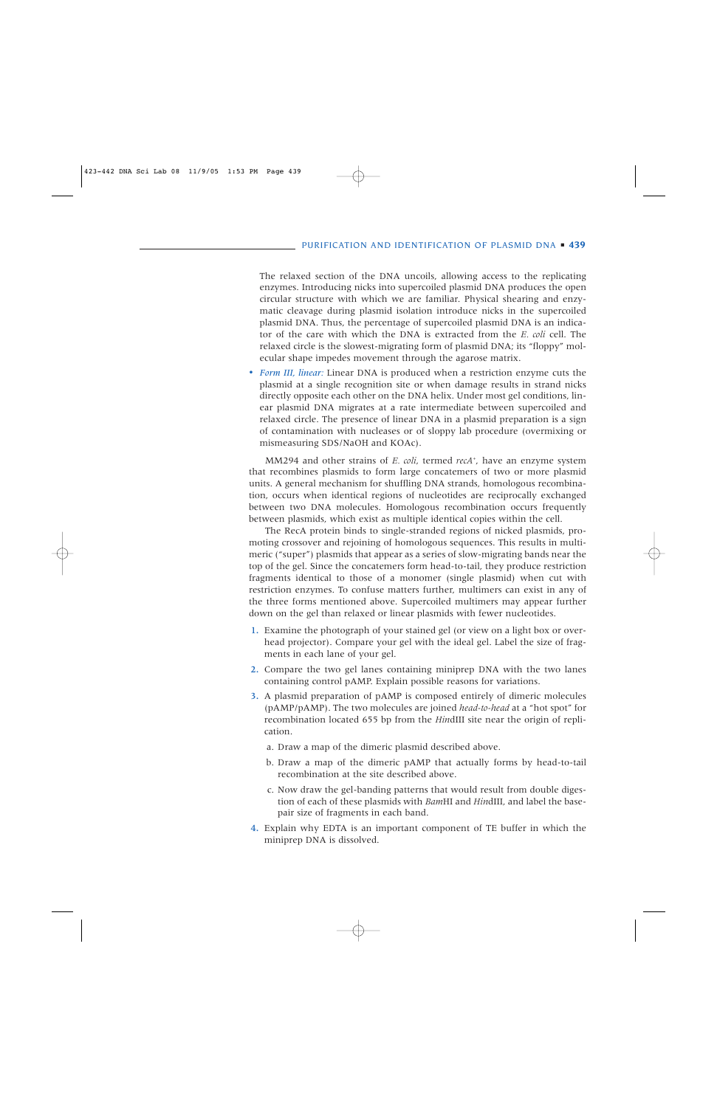The relaxed section of the DNA uncoils, allowing access to the replicating enzymes. Introducing nicks into supercoiled plasmid DNA produces the open circular structure with which we are familiar. Physical shearing and enzymatic cleavage during plasmid isolation introduce nicks in the supercoiled plasmid DNA. Thus, the percentage of supercoiled plasmid DNA is an indicator of the care with which the DNA is extracted from the *E. coli* cell. The relaxed circle is the slowest-migrating form of plasmid DNA; its "floppy" molecular shape impedes movement through the agarose matrix.

• *Form III, linear:* Linear DNA is produced when a restriction enzyme cuts the plasmid at a single recognition site or when damage results in strand nicks directly opposite each other on the DNA helix. Under most gel conditions, linear plasmid DNA migrates at a rate intermediate between supercoiled and relaxed circle. The presence of linear DNA in a plasmid preparation is a sign of contamination with nucleases or of sloppy lab procedure (overmixing or mismeasuring SDS/NaOH and KOAc).

MM294 and other strains of *E. coli*, termed *recA*<sup>+</sup> , have an enzyme system that recombines plasmids to form large concatemers of two or more plasmid units. A general mechanism for shuffling DNA strands, homologous recombination, occurs when identical regions of nucleotides are reciprocally exchanged between two DNA molecules. Homologous recombination occurs frequently between plasmids, which exist as multiple identical copies within the cell.

The RecA protein binds to single-stranded regions of nicked plasmids, promoting crossover and rejoining of homologous sequences. This results in multimeric ("super") plasmids that appear as a series of slow-migrating bands near the top of the gel. Since the concatemers form head-to-tail, they produce restriction fragments identical to those of a monomer (single plasmid) when cut with restriction enzymes. To confuse matters further, multimers can exist in any of the three forms mentioned above. Supercoiled multimers may appear further down on the gel than relaxed or linear plasmids with fewer nucleotides.

- 1. Examine the photograph of your stained gel (or view on a light box or overhead projector). Compare your gel with the ideal gel. Label the size of fragments in each lane of your gel.
- 2. Compare the two gel lanes containing miniprep DNA with the two lanes containing control pAMP. Explain possible reasons for variations.
- 3. A plasmid preparation of pAMP is composed entirely of dimeric molecules (pAMP/pAMP). The two molecules are joined *head-to-head* at a "hot spot" for recombination located 655 bp from the *Hin*dIII site near the origin of replication.
	- a. Draw a map of the dimeric plasmid described above.
	- b. Draw a map of the dimeric pAMP that actually forms by head-to-tail recombination at the site described above.
	- c. Now draw the gel-banding patterns that would result from double digestion of each of these plasmids with *Bam*HI and *Hin*dIII, and label the basepair size of fragments in each band.
- 4. Explain why EDTA is an important component of TE buffer in which the miniprep DNA is dissolved.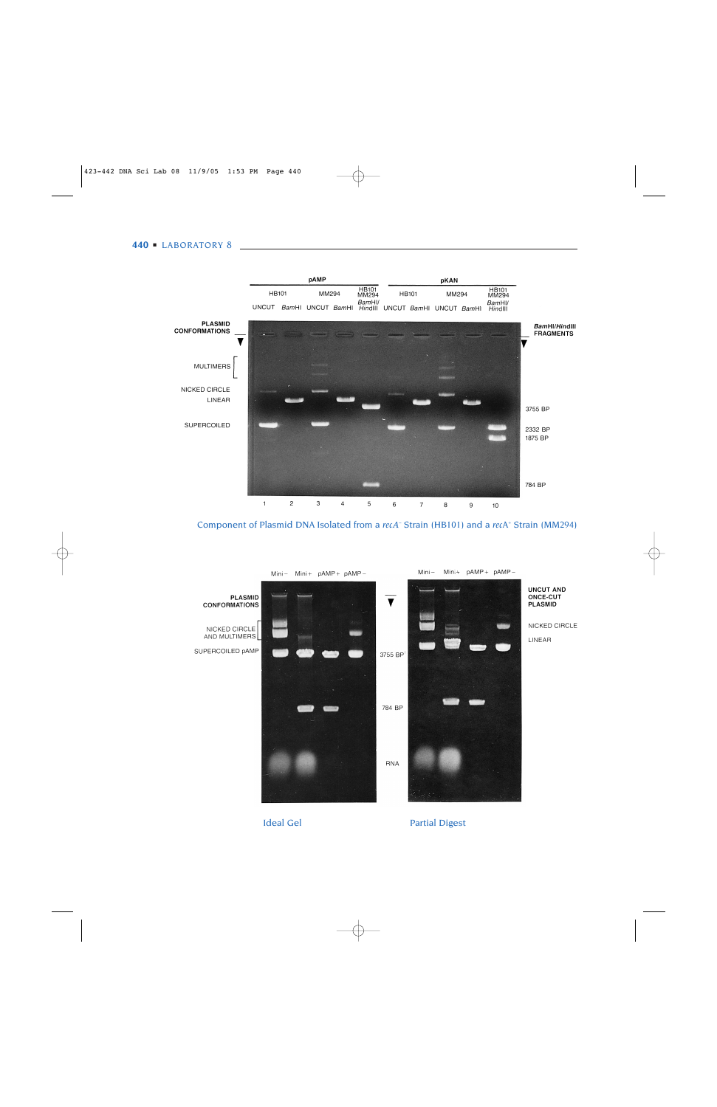

Component of Plasmid DNA Isolated from a *recA*– Strain (HB101) and a *recA*<sup>+</sup> Strain (MM294)



Ideal Gel Partial Digest